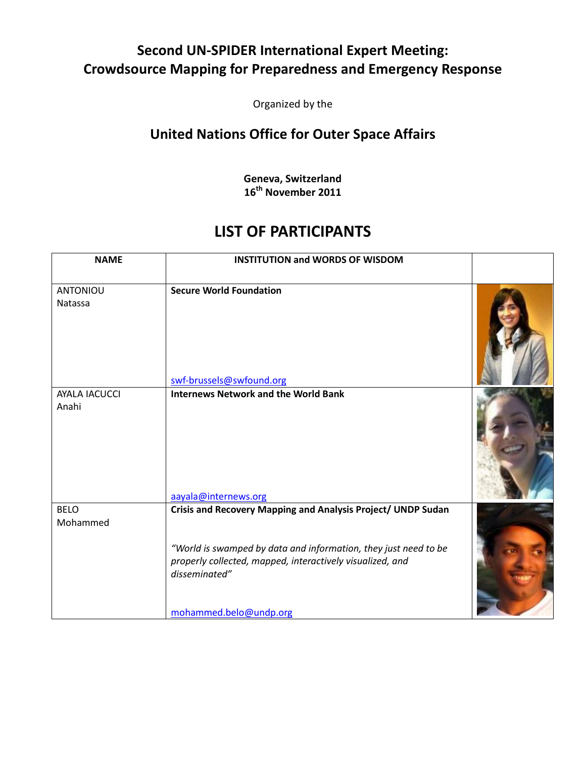## Second UN-SPIDER International Expert Meeting: Crowdsource Mapping for Preparedness and Emergency Response

Organized by the

## United Nations Office for Outer Space Affairs

Geneva, Switzerland 16<sup>th</sup> November 2011

## LIST OF PARTICIPANTS

| <b>NAME</b>                   | <b>INSTITUTION and WORDS OF WISDOM</b>                                                                                                                                                                                                  |  |
|-------------------------------|-----------------------------------------------------------------------------------------------------------------------------------------------------------------------------------------------------------------------------------------|--|
| <b>ANTONIOU</b><br>Natassa    | <b>Secure World Foundation</b><br>swf-brussels@swfound.org                                                                                                                                                                              |  |
| <b>AYALA IACUCCI</b><br>Anahi | <b>Internews Network and the World Bank</b><br>aayala@internews.org                                                                                                                                                                     |  |
| <b>BELO</b><br>Mohammed       | Crisis and Recovery Mapping and Analysis Project/ UNDP Sudan<br>"World is swamped by data and information, they just need to be<br>properly collected, mapped, interactively visualized, and<br>disseminated"<br>mohammed.belo@undp.org |  |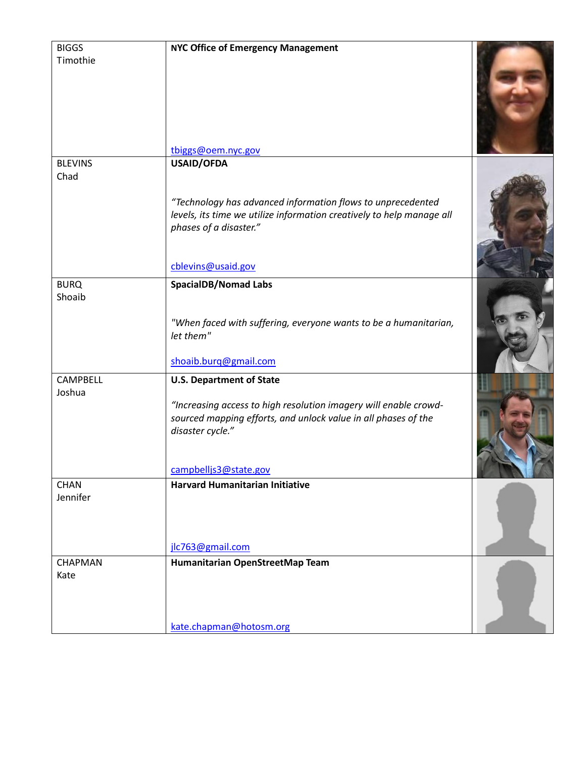| <b>BIGGS</b><br>Timothie  | NYC Office of Emergency Management<br>tbiggs@oem.nyc.gov                                                                                                                                                           |  |
|---------------------------|--------------------------------------------------------------------------------------------------------------------------------------------------------------------------------------------------------------------|--|
| <b>BLEVINS</b>            | <b>USAID/OFDA</b>                                                                                                                                                                                                  |  |
| Chad                      | "Technology has advanced information flows to unprecedented<br>levels, its time we utilize information creatively to help manage all<br>phases of a disaster."<br>cblevins@usaid.gov                               |  |
|                           |                                                                                                                                                                                                                    |  |
| <b>BURQ</b><br>Shoaib     | <b>SpacialDB/Nomad Labs</b><br>"When faced with suffering, everyone wants to be a humanitarian,<br>let them"                                                                                                       |  |
|                           | shoaib.burq@gmail.com                                                                                                                                                                                              |  |
| <b>CAMPBELL</b><br>Joshua | <b>U.S. Department of State</b><br>"Increasing access to high resolution imagery will enable crowd-<br>sourced mapping efforts, and unlock value in all phases of the<br>disaster cycle."<br>campbelljs3@state.gov |  |
| <b>CHAN</b>               | Harvard Humanitarian Initiative                                                                                                                                                                                    |  |
| Jennifer                  | jlc763@gmail.com                                                                                                                                                                                                   |  |
| <b>CHAPMAN</b><br>Kate    | Humanitarian OpenStreetMap Team<br>kate.chapman@hotosm.org                                                                                                                                                         |  |
|                           |                                                                                                                                                                                                                    |  |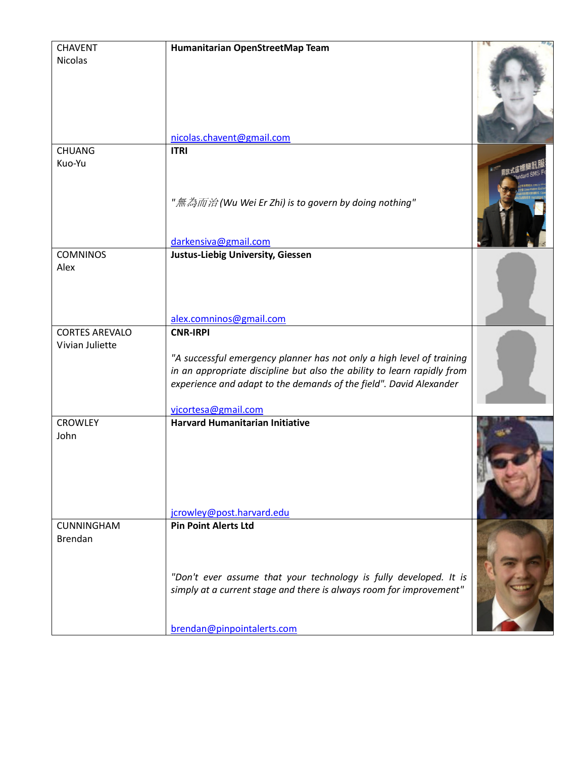| <b>CHAVENT</b>        | Humanitarian OpenStreetMap Team                                                                                                                                                                                                               |  |
|-----------------------|-----------------------------------------------------------------------------------------------------------------------------------------------------------------------------------------------------------------------------------------------|--|
| <b>Nicolas</b>        |                                                                                                                                                                                                                                               |  |
|                       | nicolas.chavent@gmail.com                                                                                                                                                                                                                     |  |
| <b>CHUANG</b>         | <b>ITRI</b>                                                                                                                                                                                                                                   |  |
| Kuo-Yu                | "無為而治(Wu Wei Er Zhi) is to govern by doing nothing"<br>darkensiva@gmail.com                                                                                                                                                                   |  |
| <b>COMNINOS</b>       | <b>Justus-Liebig University, Giessen</b>                                                                                                                                                                                                      |  |
| Alex                  | alex.comninos@gmail.com                                                                                                                                                                                                                       |  |
| <b>CORTES AREVALO</b> | <b>CNR-IRPI</b>                                                                                                                                                                                                                               |  |
| Vivian Juliette       | "A successful emergency planner has not only a high level of training<br>in an appropriate discipline but also the ability to learn rapidly from<br>experience and adapt to the demands of the field". David Alexander<br>vjcortesa@gmail.com |  |
| <b>CROWLEY</b>        | <b>Harvard Humanitarian Initiative</b>                                                                                                                                                                                                        |  |
| John                  | jcrowley@post.harvard.edu                                                                                                                                                                                                                     |  |
| <b>CUNNINGHAM</b>     | <b>Pin Point Alerts Ltd</b>                                                                                                                                                                                                                   |  |
| <b>Brendan</b>        | "Don't ever assume that your technology is fully developed. It is<br>simply at a current stage and there is always room for improvement"<br>brendan@pinpointalerts.com                                                                        |  |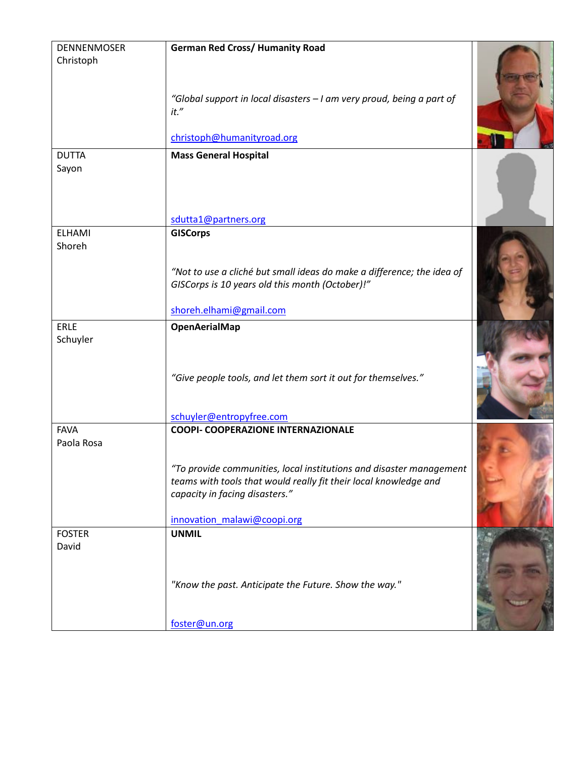| <b>DENNENMOSER</b> | <b>German Red Cross/ Humanity Road</b>                                                                                    |  |
|--------------------|---------------------------------------------------------------------------------------------------------------------------|--|
| Christoph          |                                                                                                                           |  |
|                    |                                                                                                                           |  |
|                    |                                                                                                                           |  |
|                    | "Global support in local disasters - I am very proud, being a part of                                                     |  |
|                    | it."                                                                                                                      |  |
|                    |                                                                                                                           |  |
|                    | christoph@humanityroad.org                                                                                                |  |
| <b>DUTTA</b>       | <b>Mass General Hospital</b>                                                                                              |  |
| Sayon              |                                                                                                                           |  |
|                    |                                                                                                                           |  |
|                    |                                                                                                                           |  |
|                    | sdutta1@partners.org                                                                                                      |  |
| <b>ELHAMI</b>      | <b>GISCorps</b>                                                                                                           |  |
| Shoreh             |                                                                                                                           |  |
|                    |                                                                                                                           |  |
|                    | "Not to use a cliché but small ideas do make a difference; the idea of<br>GISCorps is 10 years old this month (October)!" |  |
|                    |                                                                                                                           |  |
|                    | shoreh.elhami@gmail.com                                                                                                   |  |
| ERLE               | <b>OpenAerialMap</b>                                                                                                      |  |
| Schuyler           |                                                                                                                           |  |
|                    |                                                                                                                           |  |
|                    |                                                                                                                           |  |
|                    | "Give people tools, and let them sort it out for themselves."                                                             |  |
|                    |                                                                                                                           |  |
|                    | schuyler@entropyfree.com                                                                                                  |  |
| <b>FAVA</b>        | <b>COOPI- COOPERAZIONE INTERNAZIONALE</b>                                                                                 |  |
| Paola Rosa         |                                                                                                                           |  |
|                    |                                                                                                                           |  |
|                    | "To provide communities, local institutions and disaster management                                                       |  |
|                    | teams with tools that would really fit their local knowledge and                                                          |  |
|                    | capacity in facing disasters."                                                                                            |  |
|                    | innovation_malawi@coopi.org                                                                                               |  |
| <b>FOSTER</b>      | <b>UNMIL</b>                                                                                                              |  |
| David              |                                                                                                                           |  |
|                    |                                                                                                                           |  |
|                    |                                                                                                                           |  |
|                    | "Know the past. Anticipate the Future. Show the way."                                                                     |  |
|                    |                                                                                                                           |  |
|                    | foster@un.org                                                                                                             |  |
|                    |                                                                                                                           |  |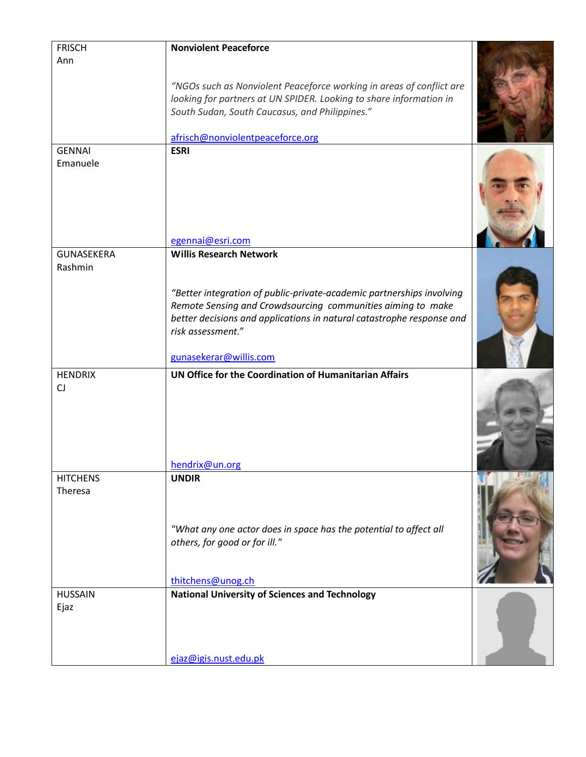| <b>FRISCH</b>             | <b>Nonviolent Peaceforce</b>                                          |  |
|---------------------------|-----------------------------------------------------------------------|--|
| Ann                       |                                                                       |  |
|                           |                                                                       |  |
|                           | "NGOs such as Nonviolent Peaceforce working in areas of conflict are  |  |
|                           | looking for partners at UN SPIDER. Looking to share information in    |  |
|                           | South Sudan, South Caucasus, and Philippines."                        |  |
|                           |                                                                       |  |
|                           | afrisch@nonviolentpeaceforce.org                                      |  |
| <b>GENNAI</b><br>Emanuele | <b>ESRI</b>                                                           |  |
|                           |                                                                       |  |
|                           |                                                                       |  |
|                           |                                                                       |  |
|                           |                                                                       |  |
|                           |                                                                       |  |
|                           | egennai@esri.com                                                      |  |
| <b>GUNASEKERA</b>         | <b>Willis Research Network</b>                                        |  |
| Rashmin                   |                                                                       |  |
|                           |                                                                       |  |
|                           | "Better integration of public-private-academic partnerships involving |  |
|                           | Remote Sensing and Crowdsourcing communities aiming to make           |  |
|                           | better decisions and applications in natural catastrophe response and |  |
|                           | risk assessment."                                                     |  |
|                           |                                                                       |  |
|                           | gunasekerar@willis.com                                                |  |
| <b>HENDRIX</b>            | UN Office for the Coordination of Humanitarian Affairs                |  |
| CJ                        |                                                                       |  |
|                           |                                                                       |  |
|                           |                                                                       |  |
|                           |                                                                       |  |
|                           |                                                                       |  |
|                           | hendrix@un.org                                                        |  |
| <b>HITCHENS</b>           | <b>UNDIR</b>                                                          |  |
| Theresa                   |                                                                       |  |
|                           |                                                                       |  |
|                           |                                                                       |  |
|                           | "What any one actor does in space has the potential to affect all     |  |
|                           | others, for good or for ill."                                         |  |
|                           |                                                                       |  |
|                           |                                                                       |  |
|                           | thitchens@unog.ch                                                     |  |
| <b>HUSSAIN</b>            | <b>National University of Sciences and Technology</b>                 |  |
| Ejaz                      |                                                                       |  |
|                           |                                                                       |  |
|                           |                                                                       |  |
|                           | ejaz@igis.nust.edu.pk                                                 |  |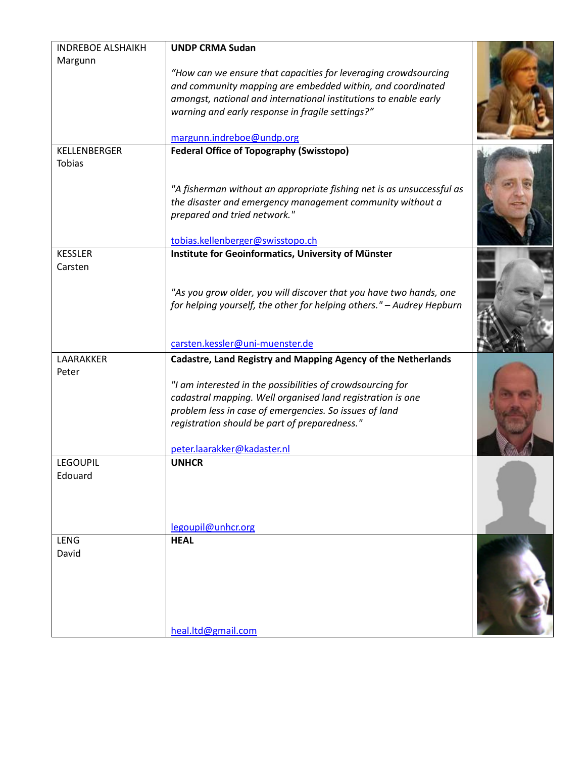| <b>INDREBOE ALSHAIKH</b> | <b>UNDP CRMA Sudan</b>                                                |  |
|--------------------------|-----------------------------------------------------------------------|--|
| Margunn                  |                                                                       |  |
|                          | "How can we ensure that capacities for leveraging crowdsourcing       |  |
|                          | and community mapping are embedded within, and coordinated            |  |
|                          | amongst, national and international institutions to enable early      |  |
|                          | warning and early response in fragile settings?"                      |  |
|                          | margunn.indreboe@undp.org                                             |  |
| KELLENBERGER             | <b>Federal Office of Topography (Swisstopo)</b>                       |  |
| <b>Tobias</b>            | "A fisherman without an appropriate fishing net is as unsuccessful as |  |
|                          | the disaster and emergency management community without a             |  |
|                          | prepared and tried network."                                          |  |
|                          |                                                                       |  |
|                          | tobias.kellenberger@swisstopo.ch                                      |  |
| <b>KESSLER</b>           | Institute for Geoinformatics, University of Münster                   |  |
| Carsten                  |                                                                       |  |
|                          | "As you grow older, you will discover that you have two hands, one    |  |
|                          | for helping yourself, the other for helping others." - Audrey Hepburn |  |
|                          |                                                                       |  |
|                          | carsten.kessler@uni-muenster.de                                       |  |
| LAARAKKER                | Cadastre, Land Registry and Mapping Agency of the Netherlands         |  |
| Peter                    |                                                                       |  |
|                          | "I am interested in the possibilities of crowdsourcing for            |  |
|                          | cadastral mapping. Well organised land registration is one            |  |
|                          | problem less in case of emergencies. So issues of land                |  |
|                          | registration should be part of preparedness."                         |  |
|                          | peter.laarakker@kadaster.nl                                           |  |
| <b>LEGOUPIL</b>          | <b>UNHCR</b>                                                          |  |
| Edouard                  |                                                                       |  |
|                          | legoupil@unhcr.org                                                    |  |
| LENG                     | <b>HEAL</b>                                                           |  |
| David                    |                                                                       |  |
|                          | heal.ltd@gmail.com                                                    |  |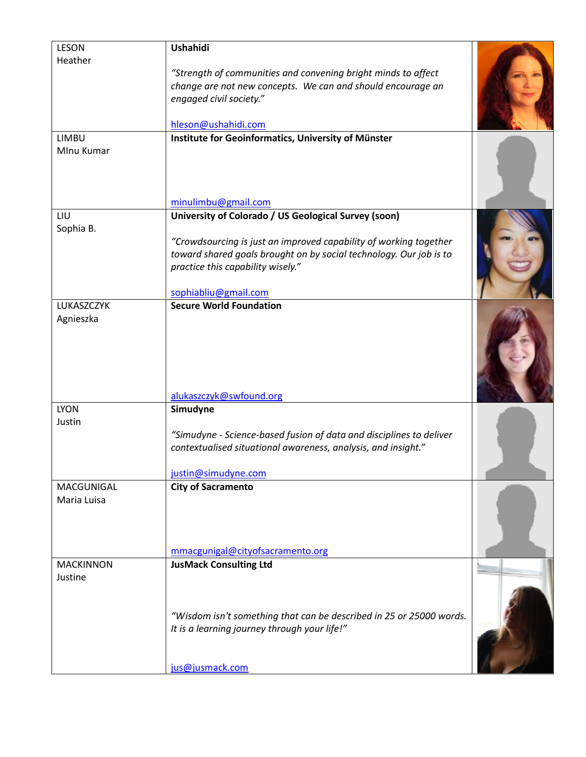| <b>LESON</b>               | <b>Ushahidi</b>                                                     |  |
|----------------------------|---------------------------------------------------------------------|--|
| Heather                    | "Strength of communities and convening bright minds to affect       |  |
|                            | change are not new concepts. We can and should encourage an         |  |
|                            | engaged civil society."                                             |  |
|                            |                                                                     |  |
|                            | hleson@ushahidi.com                                                 |  |
| <b>LIMBU</b><br>Mlnu Kumar | Institute for Geoinformatics, University of Münster                 |  |
|                            |                                                                     |  |
|                            |                                                                     |  |
|                            |                                                                     |  |
|                            | minulimbu@gmail.com                                                 |  |
| LIU                        | University of Colorado / US Geological Survey (soon)                |  |
| Sophia B.                  | "Crowdsourcing is just an improved capability of working together   |  |
|                            | toward shared goals brought on by social technology. Our job is to  |  |
|                            | practice this capability wisely."                                   |  |
|                            |                                                                     |  |
|                            | sophiabliu@gmail.com                                                |  |
| LUKASZCZYK<br>Agnieszka    | <b>Secure World Foundation</b>                                      |  |
|                            |                                                                     |  |
|                            |                                                                     |  |
|                            |                                                                     |  |
|                            |                                                                     |  |
|                            | alukaszczyk@swfound.org                                             |  |
| <b>LYON</b>                | Simudyne                                                            |  |
| Justin                     |                                                                     |  |
|                            | "Simudyne - Science-based fusion of data and disciplines to deliver |  |
|                            | contextualised situational awareness, analysis, and insight."       |  |
|                            | justin@simudyne.com                                                 |  |
| MACGUNIGAL                 | <b>City of Sacramento</b>                                           |  |
| Maria Luisa                |                                                                     |  |
|                            |                                                                     |  |
|                            |                                                                     |  |
|                            | mmacgunigal@cityofsacramento.org                                    |  |
| <b>MACKINNON</b>           | <b>JusMack Consulting Ltd</b>                                       |  |
| Justine                    |                                                                     |  |
|                            |                                                                     |  |
|                            |                                                                     |  |
|                            | "Wisdom isn't something that can be described in 25 or 25000 words. |  |
|                            | It is a learning journey through your life!"                        |  |
|                            |                                                                     |  |
|                            | jus@jusmack.com                                                     |  |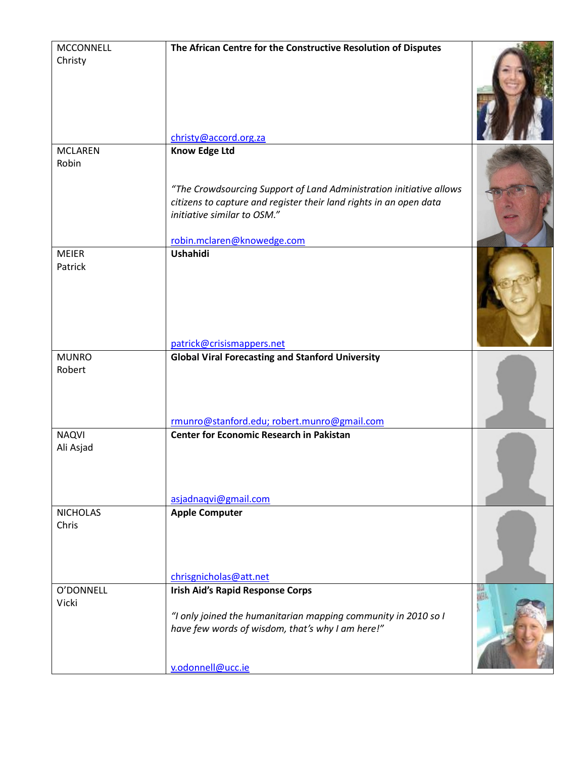| <b>MCCONNELL</b>        | The African Centre for the Constructive Resolution of Disputes                                                                                                                                                                 |  |
|-------------------------|--------------------------------------------------------------------------------------------------------------------------------------------------------------------------------------------------------------------------------|--|
| Christy                 | christy@accord.org.za                                                                                                                                                                                                          |  |
| <b>MCLAREN</b>          |                                                                                                                                                                                                                                |  |
| Robin                   | <b>Know Edge Ltd</b><br>"The Crowdsourcing Support of Land Administration initiative allows<br>citizens to capture and register their land rights in an open data<br>initiative similar to OSM."<br>robin.mclaren@knowedge.com |  |
|                         |                                                                                                                                                                                                                                |  |
| <b>MEIER</b><br>Patrick | Ushahidi<br>patrick@crisismappers.net                                                                                                                                                                                          |  |
|                         |                                                                                                                                                                                                                                |  |
| <b>MUNRO</b><br>Robert  | <b>Global Viral Forecasting and Stanford University</b><br>rmunro@stanford.edu; robert.munro@gmail.com                                                                                                                         |  |
| <b>NAQVI</b>            | <b>Center for Economic Research in Pakistan</b>                                                                                                                                                                                |  |
| Ali Asjad               | asjadnaqvi@gmail.com                                                                                                                                                                                                           |  |
| <b>NICHOLAS</b>         | <b>Apple Computer</b>                                                                                                                                                                                                          |  |
| Chris                   | chrisgnicholas@att.net                                                                                                                                                                                                         |  |
| O'DONNELL               | <b>Irish Aid's Rapid Response Corps</b>                                                                                                                                                                                        |  |
| Vicki                   | "I only joined the humanitarian mapping community in 2010 so I<br>have few words of wisdom, that's why I am here!"<br>v.odonnell@ucc.ie                                                                                        |  |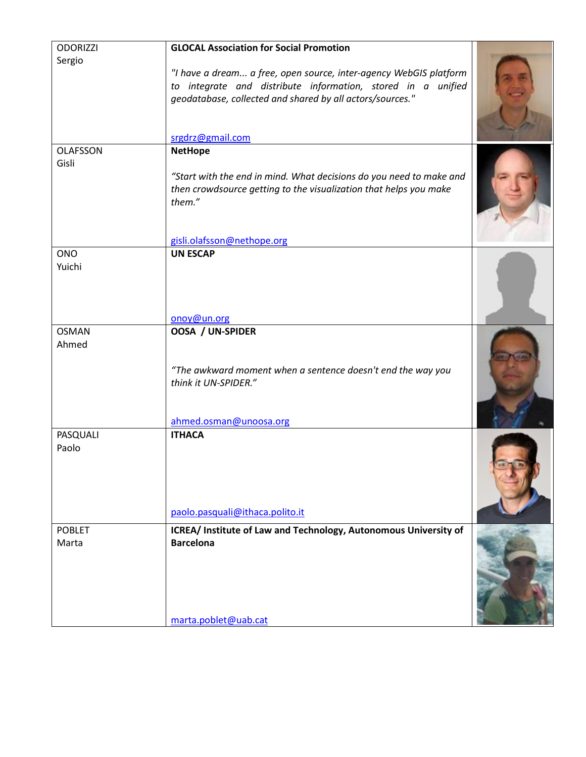| <b>ODORIZZI</b>      | <b>GLOCAL Association for Social Promotion</b>                                                                                                                                                                     |  |
|----------------------|--------------------------------------------------------------------------------------------------------------------------------------------------------------------------------------------------------------------|--|
| Sergio               | "I have a dream a free, open source, inter-agency WebGIS platform<br>to integrate and distribute information, stored in a unified<br>geodatabase, collected and shared by all actors/sources."<br>srgdrz@gmail.com |  |
| <b>OLAFSSON</b>      | <b>NetHope</b>                                                                                                                                                                                                     |  |
| Gisli                | "Start with the end in mind. What decisions do you need to make and<br>then crowdsource getting to the visualization that helps you make<br>them."                                                                 |  |
|                      | gisli.olafsson@nethope.org                                                                                                                                                                                         |  |
| <b>ONO</b><br>Yuichi | <b>UN ESCAP</b><br>onoy@un.org                                                                                                                                                                                     |  |
| <b>OSMAN</b>         | OOSA / UN-SPIDER                                                                                                                                                                                                   |  |
| Ahmed                | "The awkward moment when a sentence doesn't end the way you<br>think it UN-SPIDER."<br>ahmed.osman@unoosa.org                                                                                                      |  |
| PASQUALI             | <b>ITHACA</b>                                                                                                                                                                                                      |  |
| Paolo                | paolo.pasquali@ithaca.polito.it                                                                                                                                                                                    |  |
| <b>POBLET</b>        |                                                                                                                                                                                                                    |  |
| Marta                | ICREA/ Institute of Law and Technology, Autonomous University of<br><b>Barcelona</b><br>marta.poblet@uab.cat                                                                                                       |  |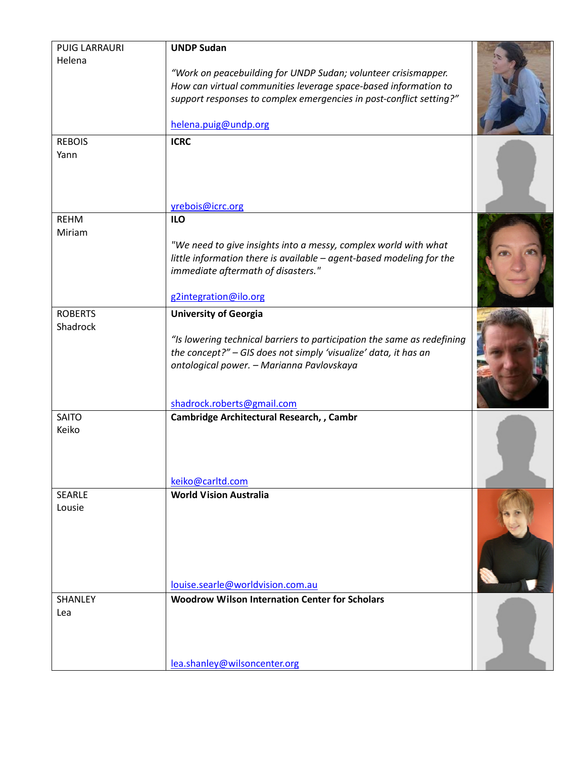| <b>PUIG LARRAURI</b>       | <b>UNDP Sudan</b>                                                                                                                       |  |
|----------------------------|-----------------------------------------------------------------------------------------------------------------------------------------|--|
| Helena                     |                                                                                                                                         |  |
|                            | "Work on peacebuilding for UNDP Sudan; volunteer crisismapper.<br>How can virtual communities leverage space-based information to       |  |
|                            | support responses to complex emergencies in post-conflict setting?"                                                                     |  |
|                            |                                                                                                                                         |  |
|                            | helena.puig@undp.org                                                                                                                    |  |
| <b>REBOIS</b>              | <b>ICRC</b>                                                                                                                             |  |
| Yann                       | yrebois@icrc.org                                                                                                                        |  |
| <b>REHM</b>                | <b>ILO</b>                                                                                                                              |  |
| Miriam                     |                                                                                                                                         |  |
|                            | "We need to give insights into a messy, complex world with what<br>little information there is available - agent-based modeling for the |  |
|                            | immediate aftermath of disasters."                                                                                                      |  |
|                            |                                                                                                                                         |  |
|                            | g2integration@ilo.org                                                                                                                   |  |
| <b>ROBERTS</b><br>Shadrock | <b>University of Georgia</b>                                                                                                            |  |
|                            | "Is lowering technical barriers to participation the same as redefining                                                                 |  |
|                            | the concept?" - GIS does not simply 'visualize' data, it has an                                                                         |  |
|                            | ontological power. - Marianna Pavlovskaya                                                                                               |  |
|                            |                                                                                                                                         |  |
|                            | shadrock.roberts@gmail.com                                                                                                              |  |
| <b>SAITO</b><br>Keiko      | Cambridge Architectural Research, , Cambr                                                                                               |  |
|                            |                                                                                                                                         |  |
|                            |                                                                                                                                         |  |
|                            | keiko@carltd.com                                                                                                                        |  |
| <b>SEARLE</b>              | <b>World Vision Australia</b>                                                                                                           |  |
| Lousie                     |                                                                                                                                         |  |
|                            |                                                                                                                                         |  |
|                            |                                                                                                                                         |  |
|                            |                                                                                                                                         |  |
|                            |                                                                                                                                         |  |
| SHANLEY                    | louise.searle@worldvision.com.au<br><b>Woodrow Wilson Internation Center for Scholars</b>                                               |  |
| Lea                        |                                                                                                                                         |  |
|                            |                                                                                                                                         |  |
|                            |                                                                                                                                         |  |
|                            | lea.shanley@wilsoncenter.org                                                                                                            |  |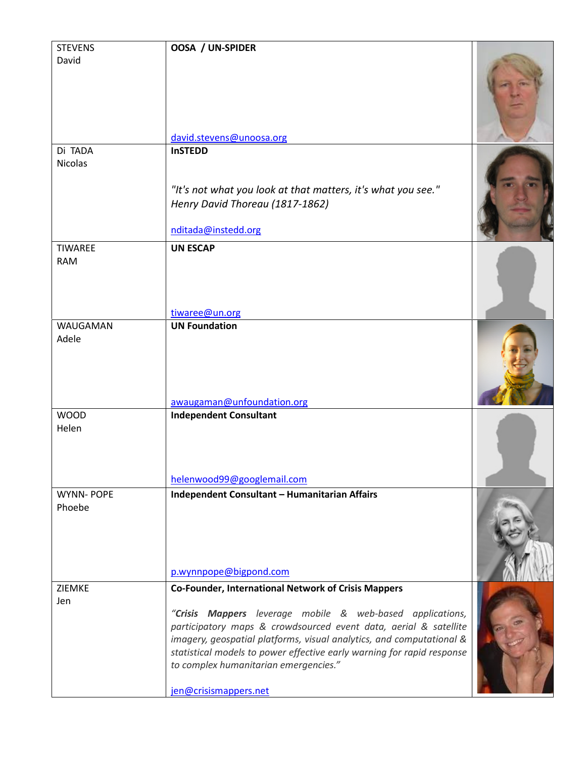| <b>STEVENS</b>   | OOSA / UN-SPIDER                                                                                                                                                                                                                                                                                                                                  |  |
|------------------|---------------------------------------------------------------------------------------------------------------------------------------------------------------------------------------------------------------------------------------------------------------------------------------------------------------------------------------------------|--|
| David            | david.stevens@unoosa.org                                                                                                                                                                                                                                                                                                                          |  |
| Di TADA          | <b>InSTEDD</b>                                                                                                                                                                                                                                                                                                                                    |  |
| <b>Nicolas</b>   | "It's not what you look at that matters, it's what you see."<br>Henry David Thoreau (1817-1862)<br>nditada@instedd.org                                                                                                                                                                                                                            |  |
| <b>TIWAREE</b>   | <b>UN ESCAP</b>                                                                                                                                                                                                                                                                                                                                   |  |
| <b>RAM</b>       | tiwaree@un.org                                                                                                                                                                                                                                                                                                                                    |  |
| WAUGAMAN         | <b>UN Foundation</b>                                                                                                                                                                                                                                                                                                                              |  |
| Adele            | awaugaman@unfoundation.org                                                                                                                                                                                                                                                                                                                        |  |
| <b>WOOD</b>      | <b>Independent Consultant</b>                                                                                                                                                                                                                                                                                                                     |  |
| Helen            | helenwood99@googlemail.com                                                                                                                                                                                                                                                                                                                        |  |
| <b>WYNN-POPE</b> | Independent Consultant - Humanitarian Affairs                                                                                                                                                                                                                                                                                                     |  |
| Phoebe           | p.wynnpope@bigpond.com                                                                                                                                                                                                                                                                                                                            |  |
| ZIEMKE           | <b>Co-Founder, International Network of Crisis Mappers</b>                                                                                                                                                                                                                                                                                        |  |
| Jen              | "Crisis Mappers leverage mobile & web-based applications,<br>participatory maps & crowdsourced event data, aerial & satellite<br>imagery, geospatial platforms, visual analytics, and computational &<br>statistical models to power effective early warning for rapid response<br>to complex humanitarian emergencies."<br>jen@crisismappers.net |  |